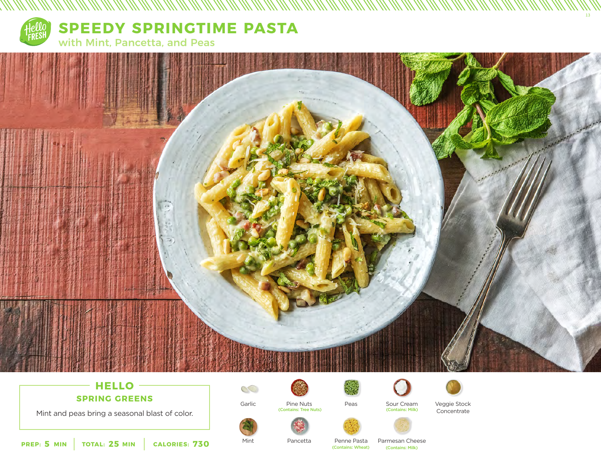

**SPEEDY SPRINGTIME PASTA** with Mint, Pancetta, and Peas



# **HELLO**

**SPRING GREENS**

Mint and peas bring a seasonal blast of color.



Garlic

 $\mathbb{C}$ 

Mint

Pine Nuts (Contains: Tree Nuts)



Peas



Sour Cream<br>(Contains: Milk)



Veggie Stock Concentrate

13



Parmesan Cheese

**5 25 730 PREP: MIN TOTAL: MIN CALORIES:**

Pancetta

Penne Pasta (Contains: Wheat) (Contains: Milk)